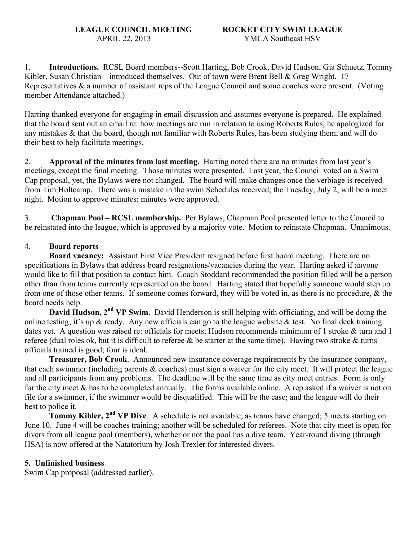1. **Introductions.** RCSL Board members--Scott Harting, Bob Crook, David Hudson, Gia Schuetz, Tommy Kibler, Susan Christian—introduced themselves. Out of town were Brent Bell & Greg Wright. 17 Representatives & a number of assistant reps of the League Council and some coaches were present. (Voting member Attendance attached.)

Harting thanked everyone for engaging in email discussion and assumes everyone is prepared. He explained that the board sent out an email re: how meetings are run in relation to using Roberts Rules; he apologized for any mistakes & that the board, though not familiar with Roberts Rules, has been studying them, and will do their best to help facilitate meetings.

2. **Approval of the minutes from last meeting.** Harting noted there are no minutes from last year's meetings, except the final meeting. Those minutes were presented. Last year, the Council voted on a Swim Cap proposal, yet, the Bylaws were not changed. The board will make changes once the verbiage is received from Tim Holtcamp. There was a mistake in the swim Schedules received; the Tuesday, July 2, will be a meet night. Motion to approve minutes; minutes were approved.

3. **Chapman Pool – RCSL membership.** Per Bylaws, Chapman Pool presented letter to the Council to be reinstated into the league, which is approved by a majority vote. Motion to reinstate Chapman. Unanimous.

### 4. **Board reports**

**Board vacancy:** Assistant First Vice President resigned before first board meeting. There are no specifications in Bylaws that address board resignations/vacancies during the year. Harting asked if anyone would like to fill that position to contact him. Coach Stoddard recommended the position filled will be a person other than from teams currently represented on the board. Harting stated that hopefully someone would step up from one of those other teams. If someone comes forward, they will be voted in, as there is no procedure, & the board needs help.

**David Hudson, 2<sup>nd</sup> VP Swim**. David Henderson is still helping with officiating, and will be doing the online testing; it's up  $\&$  ready. Any new officials can go to the league website  $\&$  test. No final deck training dates yet. A question was raised re: officials for meets; Hudson recommends minimum of 1 stroke & turn and 1 referee (dual roles ok, but it is difficult to referee  $\&$  be starter at the same time). Having two stroke  $\&$  turns officials trained is good; four is ideal.

**Treasurer, Bob Crook**. Announced new insurance coverage requirements by the insurance company, that each swimmer (including parents & coaches) must sign a waiver for the city meet. It will protect the league and all participants from any problems. The deadline will be the same time as city meet entries. Form is only for the city meet  $\&$  has to be completed annually. The forms available online. A rep asked if a waiver is not on file for a swimmer, if the swimmer would be disqualified. This will be the case; and the league will do their best to police it.

**Tommy Kibler, 2<sup>nd</sup> VP Dive**. A schedule is not available, as teams have changed; 5 meets starting on June 10. June 4 will be coaches training; another will be scheduled for referees. Note that city meet is open for divers from all league pool (members), whether or not the pool has a dive team. Year-round diving (through HSA) is now offered at the Natatorium by Josh Trexler for interested divers.

### **5. Unfinished business**

Swim Cap proposal (addressed earlier).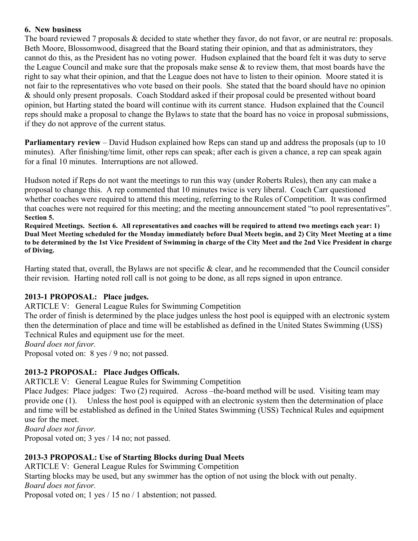#### **6. New business**

The board reviewed 7 proposals & decided to state whether they favor, do not favor, or are neutral re: proposals. Beth Moore, Blossomwood, disagreed that the Board stating their opinion, and that as administrators, they cannot do this, as the President has no voting power. Hudson explained that the board felt it was duty to serve the League Council and make sure that the proposals make sense & to review them, that most boards have the right to say what their opinion, and that the League does not have to listen to their opinion. Moore stated it is not fair to the representatives who vote based on their pools. She stated that the board should have no opinion & should only present proposals. Coach Stoddard asked if their proposal could be presented without board opinion, but Harting stated the board will continue with its current stance. Hudson explained that the Council reps should make a proposal to change the Bylaws to state that the board has no voice in proposal submissions, if they do not approve of the current status.

**Parliamentary review** – David Hudson explained how Reps can stand up and address the proposals (up to 10) minutes). After finishing/time limit, other reps can speak; after each is given a chance, a rep can speak again for a final 10 minutes. Interruptions are not allowed.

Hudson noted if Reps do not want the meetings to run this way (under Roberts Rules), then any can make a proposal to change this. A rep commented that 10 minutes twice is very liberal. Coach Carr questioned whether coaches were required to attend this meeting, referring to the Rules of Competition. It was confirmed that coaches were not required for this meeting; and the meeting announcement stated "to pool representatives". **Section 5.** 

**Required Meetings. Section 6. All representatives and coaches will be required to attend two meetings each year: 1) Dual Meet Meeting scheduled for the Monday immediately before Dual Meets begin, and 2) City Meet Meeting at a time to be determined by the 1st Vice President of Swimming in charge of the City Meet and the 2nd Vice President in charge of Diving.**

Harting stated that, overall, the Bylaws are not specific & clear, and he recommended that the Council consider their revision. Harting noted roll call is not going to be done, as all reps signed in upon entrance.

### **2013-1 PROPOSAL: Place judges.**

ARTICLE V: General League Rules for Swimming Competition

The order of finish is determined by the place judges unless the host pool is equipped with an electronic system then the determination of place and time will be established as defined in the United States Swimming (USS) Technical Rules and equipment use for the meet.

#### *Board does not favor.*

Proposal voted on: 8 yes / 9 no; not passed.

### **2013-2 PROPOSAL: Place Judges Officals.**

ARTICLE V: General League Rules for Swimming Competition

Place Judges: Place judges: Two (2) required. Across –the-board method will be used. Visiting team may provide one (1). Unless the host pool is equipped with an electronic system then the determination of place and time will be established as defined in the United States Swimming (USS) Technical Rules and equipment use for the meet.

*Board does not favor.*

Proposal voted on; 3 yes / 14 no; not passed.

### **2013-3 PROPOSAL: Use of Starting Blocks during Dual Meets**

ARTICLE V: General League Rules for Swimming Competition Starting blocks may be used, but any swimmer has the option of not using the block with out penalty. *Board does not favor.*

Proposal voted on; 1 yes / 15 no / 1 abstention; not passed.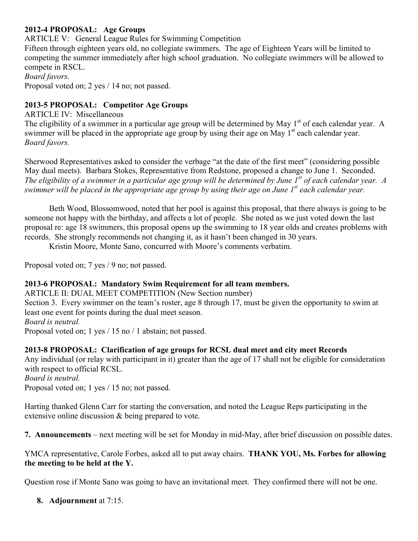## **2012-4 PROPOSAL: Age Groups**

ARTICLE V: General League Rules for Swimming Competition

Fifteen through eighteen years old, no collegiate swimmers. The age of Eighteen Years will be limited to competing the summer immediately after high school graduation. No collegiate swimmers will be allowed to compete in RSCL.

*Board favors.*

Proposal voted on; 2 yes / 14 no; not passed.

## **2013-5 PROPOSAL: Competitor Age Groups**

ARTICLE IV: Miscellaneous

The eligibility of a swimmer in a particular age group will be determined by May 1<sup>st</sup> of each calendar year. A swimmer will be placed in the appropriate age group by using their age on May  $1<sup>st</sup>$  each calendar year. *Board favors.*

Sherwood Representatives asked to consider the verbage "at the date of the first meet" (considering possible May dual meets). Barbara Stokes, Representative from Redstone, proposed a change to June 1. Seconded. *The eligibility of a swimmer in a particular age group will be determined by June 1st of each calendar year. A swimmer will be placed in the appropriate age group by using their age on June 1st each calendar year.* 

Beth Wood, Blossomwood, noted that her pool is against this proposal, that there always is going to be someone not happy with the birthday, and affects a lot of people. She noted as we just voted down the last proposal re: age 18 swimmers, this proposal opens up the swimming to 18 year olds and creates problems with records. She strongly recommends not changing it, as it hasn't been changed in 30 years.

Kristin Moore, Monte Sano, concurred with Moore's comments verbatim.

Proposal voted on; 7 yes / 9 no; not passed.

### **2013-6 PROPOSAL: Mandatory Swim Requirement for all team members.**

ARTICLE II: DUAL MEET COMPETITION (New Section number) Section 3. Every swimmer on the team's roster, age 8 through 17, must be given the opportunity to swim at least one event for points during the dual meet season. *Board is neutral.*

Proposal voted on; 1 yes / 15 no / 1 abstain; not passed.

### **2013-8 PROPOSAL: Clarification of age groups for RCSL dual meet and city meet Records**

Any individual (or relay with participant in it) greater than the age of 17 shall not be eligible for consideration with respect to official RCSL. *Board is neutral.*

Proposal voted on; 1 yes / 15 no; not passed.

Harting thanked Glenn Carr for starting the conversation, and noted the League Reps participating in the extensive online discussion & being prepared to vote.

**7. Announcements** – next meeting will be set for Monday in mid-May, after brief discussion on possible dates.

YMCA representative, Carole Forbes, asked all to put away chairs. **THANK YOU, Ms. Forbes for allowing the meeting to be held at the Y.**

Question rose if Monte Sano was going to have an invitational meet. They confirmed there will not be one.

**8. Adjournment** at 7:15.